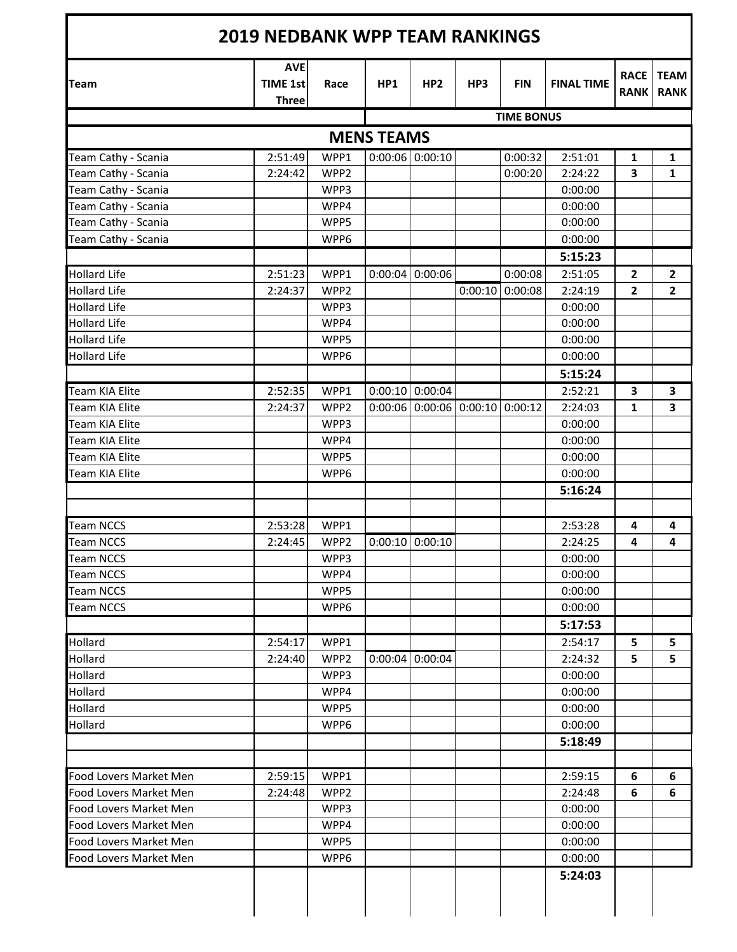|                        | <b>AVE</b>                      |                  |                   |                   |                           |                   |                   | <b>RACE</b>  | <b>TEAM</b>    |
|------------------------|---------------------------------|------------------|-------------------|-------------------|---------------------------|-------------------|-------------------|--------------|----------------|
| <b>Team</b>            | <b>TIME 1st</b><br><b>Three</b> | Race             | HP1               | HP <sub>2</sub>   | HP3                       | <b>FIN</b>        | <b>FINAL TIME</b> | <b>RANK</b>  | <b>RANK</b>    |
|                        |                                 |                  |                   |                   |                           | <b>TIME BONUS</b> |                   |              |                |
|                        |                                 |                  | <b>MENS TEAMS</b> |                   |                           |                   |                   |              |                |
| Team Cathy - Scania    | 2:51:49                         | WPP1             |                   | $0:00:06$ 0:00:10 |                           | 0:00:32           | 2:51:01           | 1            | 1              |
| Team Cathy - Scania    | 2:24:42                         | WPP2             |                   |                   |                           | 0:00:20           | 2:24:22           | 3            | 1              |
| Team Cathy - Scania    |                                 | WPP3             |                   |                   |                           |                   | 0:00:00           |              |                |
| Team Cathy - Scania    |                                 | WPP4             |                   |                   |                           |                   | 0:00:00           |              |                |
| Team Cathy - Scania    |                                 | WPP5             |                   |                   |                           |                   | 0:00:00           |              |                |
| Team Cathy - Scania    |                                 | WPP6             |                   |                   |                           |                   | 0:00:00           |              |                |
|                        |                                 |                  |                   |                   |                           |                   | 5:15:23           |              |                |
| <b>Hollard Life</b>    | 2:51:23                         | WPP1             |                   | $0:00:04$ 0:00:06 |                           | 0:00:08           | 2:51:05           | $\mathbf{2}$ | $\overline{2}$ |
| <b>Hollard Life</b>    | 2:24:37                         | WPP <sub>2</sub> |                   |                   | 0:00:10                   | 0:00:08           | 2:24:19           | $\mathbf{2}$ | $\overline{2}$ |
| <b>Hollard Life</b>    |                                 | WPP3             |                   |                   |                           |                   | 0:00:00           |              |                |
| <b>Hollard Life</b>    |                                 | WPP4             |                   |                   |                           |                   | 0:00:00           |              |                |
| <b>Hollard Life</b>    |                                 | WPP5             |                   |                   |                           |                   | 0:00:00           |              |                |
| <b>Hollard Life</b>    |                                 | WPP6             |                   |                   |                           |                   | 0:00:00           |              |                |
|                        |                                 |                  |                   |                   |                           |                   | 5:15:24           |              |                |
| <b>Team KIA Elite</b>  | 2:52:35                         | WPP1             |                   | $0:00:10$ 0:00:04 |                           |                   | 2:52:21           | 3            | 3              |
| <b>Team KIA Elite</b>  | 2:24:37                         | WPP2             | 0:00:06           |                   | $0:00:06$ 0:00:10 0:00:12 |                   | 2:24:03           | 1            | 3              |
| <b>Team KIA Elite</b>  |                                 | WPP3             |                   |                   |                           |                   | 0:00:00           |              |                |
| <b>Team KIA Elite</b>  |                                 | WPP4             |                   |                   |                           |                   | 0:00:00           |              |                |
| Team KIA Elite         |                                 | WPP5             |                   |                   |                           |                   | 0:00:00           |              |                |
| Team KIA Elite         |                                 | WPP6             |                   |                   |                           |                   | 0:00:00           |              |                |
|                        |                                 |                  |                   |                   |                           |                   | 5:16:24           |              |                |
|                        |                                 |                  |                   |                   |                           |                   |                   |              |                |
| <b>Team NCCS</b>       | 2:53:28                         | WPP1             |                   |                   |                           |                   | 2:53:28           | 4            | 4              |
| <b>Team NCCS</b>       | 2:24:45                         | WPP2             | 0:00:10           | 0:00:10           |                           |                   | 2:24:25           | 4            | 4              |
| <b>Team NCCS</b>       |                                 | WPP3             |                   |                   |                           |                   | 0:00:00           |              |                |
| <b>Team NCCS</b>       |                                 | WPP4             |                   |                   |                           |                   | 0:00:00           |              |                |
| <b>Team NCCS</b>       |                                 | WPP5             |                   |                   |                           |                   | 0:00:00           |              |                |
| <b>Team NCCS</b>       |                                 | WPP6             |                   |                   |                           |                   | 0:00:00           |              |                |
|                        |                                 |                  |                   |                   |                           |                   | 5:17:53           |              |                |
| Hollard                | 2:54:17                         | WPP1             |                   |                   |                           |                   | 2:54:17           | 5            | 5              |
| Hollard                | 2:24:40                         | WPP <sub>2</sub> | 0:00:04           | 0:00:04           |                           |                   | 2:24:32           | 5            | 5              |
| Hollard                |                                 | WPP3             |                   |                   |                           |                   | 0:00:00           |              |                |
| Hollard                |                                 | WPP4             |                   |                   |                           |                   | 0:00:00           |              |                |
| Hollard                |                                 | WPP5             |                   |                   |                           |                   | 0:00:00           |              |                |
| Hollard                |                                 | WPP6             |                   |                   |                           |                   | 0:00:00           |              |                |
|                        |                                 |                  |                   |                   |                           |                   | 5:18:49           |              |                |
|                        |                                 |                  |                   |                   |                           |                   |                   |              |                |
| Food Lovers Market Men | 2:59:15                         | WPP1             |                   |                   |                           |                   | 2:59:15           | 6            | 6              |
| Food Lovers Market Men | 2:24:48                         | WPP2             |                   |                   |                           |                   | 2:24:48           | 6            | 6              |
| Food Lovers Market Men |                                 | WPP3             |                   |                   |                           |                   | 0:00:00           |              |                |
| Food Lovers Market Men |                                 | WPP4             |                   |                   |                           |                   | 0:00:00           |              |                |
| Food Lovers Market Men |                                 | WPP5             |                   |                   |                           |                   | 0:00:00           |              |                |
| Food Lovers Market Men |                                 | WPP6             |                   |                   |                           |                   | 0:00:00           |              |                |
|                        |                                 |                  |                   |                   |                           |                   | 5:24:03           |              |                |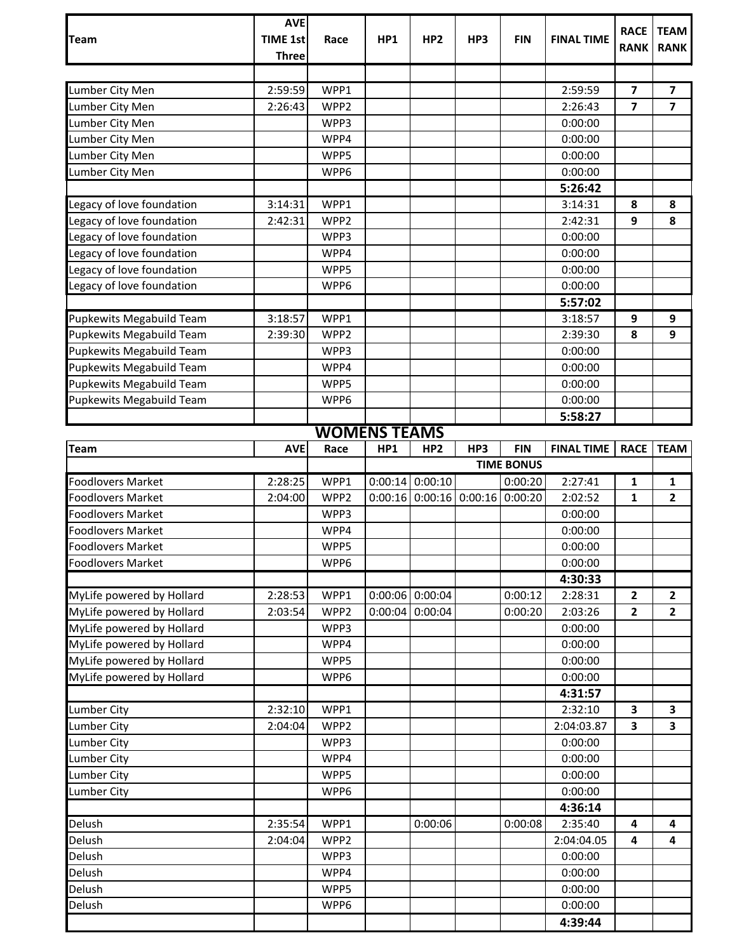| <b>Team</b>                     | <b>AVE</b><br><b>TIME 1st</b> | Race                | HP <sub>1</sub> | HP <sub>2</sub>   | HP3     | <b>FIN</b>        | <b>FINAL TIME</b> | <b>RACE</b>             | <b>TEAM</b>             |
|---------------------------------|-------------------------------|---------------------|-----------------|-------------------|---------|-------------------|-------------------|-------------------------|-------------------------|
|                                 | <b>Three</b>                  |                     |                 |                   |         |                   |                   | <b>RANK</b>             | <b>RANK</b>             |
|                                 |                               |                     |                 |                   |         |                   |                   |                         |                         |
| Lumber City Men                 | 2:59:59                       | WPP1                |                 |                   |         |                   | 2:59:59           | 7                       | 7                       |
| Lumber City Men                 | 2:26:43                       | WPP2                |                 |                   |         |                   | 2:26:43           | $\overline{\mathbf{z}}$ | $\overline{\mathbf{z}}$ |
| Lumber City Men                 |                               | WPP3                |                 |                   |         |                   | 0:00:00           |                         |                         |
| Lumber City Men                 |                               | WPP4                |                 |                   |         |                   | 0:00:00           |                         |                         |
| Lumber City Men                 |                               | WPP5                |                 |                   |         |                   | 0:00:00           |                         |                         |
| Lumber City Men                 |                               | WPP6                |                 |                   |         |                   | 0:00:00           |                         |                         |
|                                 |                               |                     |                 |                   |         |                   | 5:26:42           |                         |                         |
| Legacy of love foundation       | 3:14:31                       | WPP1                |                 |                   |         |                   | 3:14:31           | 8                       | 8                       |
| Legacy of love foundation       | 2:42:31                       | WPP2                |                 |                   |         |                   | 2:42:31           | 9                       | 8                       |
| Legacy of love foundation       |                               | WPP3                |                 |                   |         |                   | 0:00:00           |                         |                         |
| Legacy of love foundation       |                               | WPP4                |                 |                   |         |                   | 0:00:00           |                         |                         |
| Legacy of love foundation       |                               | WPP5                |                 |                   |         |                   | 0:00:00           |                         |                         |
| Legacy of love foundation       |                               | WPP6                |                 |                   |         |                   | 0:00:00           |                         |                         |
|                                 |                               |                     |                 |                   |         |                   | 5:57:02           |                         |                         |
| Pupkewits Megabuild Team        | 3:18:57                       | WPP1                |                 |                   |         |                   | 3:18:57           | 9                       | 9                       |
| Pupkewits Megabuild Team        | 2:39:30                       | WPP2                |                 |                   |         |                   | 2:39:30           | 8                       | $\mathbf{9}$            |
| Pupkewits Megabuild Team        |                               | WPP3                |                 |                   |         |                   | 0:00:00           |                         |                         |
| Pupkewits Megabuild Team        |                               | WPP4                |                 |                   |         |                   | 0:00:00           |                         |                         |
| <b>Pupkewits Megabuild Team</b> |                               | WPP5                |                 |                   |         |                   | 0:00:00           |                         |                         |
| Pupkewits Megabuild Team        |                               | WPP6                |                 |                   |         |                   | 0:00:00           |                         |                         |
|                                 |                               |                     |                 |                   |         |                   | 5:58:27           |                         |                         |
|                                 |                               | <b>WOMENS TEAMS</b> |                 |                   |         |                   |                   |                         |                         |
| Team                            | <b>AVE</b>                    | Race                | HP1             | HP <sub>2</sub>   | HP3     | <b>FIN</b>        | <b>FINAL TIME</b> | <b>RACE</b>             | <b>TEAM</b>             |
|                                 |                               |                     |                 |                   |         | <b>TIME BONUS</b> |                   |                         |                         |
| <b>Foodlovers Market</b>        | 2:28:25                       | WPP1                | 0:00:14         | 0:00:10           |         | 0:00:20           | 2:27:41           | $\mathbf{1}$            | 1                       |
| <b>Foodlovers Market</b>        | 2:04:00                       | WPP2                | 0:00:16         | 0:00:16           | 0:00:16 | 0:00:20           | 2:02:52           | $\mathbf{1}$            | $\overline{2}$          |
| <b>Foodlovers Market</b>        |                               | WPP3                |                 |                   |         |                   | 0:00:00           |                         |                         |
| <b>Foodlovers Market</b>        |                               | WPP4                |                 |                   |         |                   | 0:00:00           |                         |                         |
| Foodlovers Market               |                               | WPP5                |                 |                   |         |                   | 0:00:00           |                         |                         |
| <b>Foodlovers Market</b>        |                               | WPP6                |                 |                   |         |                   | 0:00:00           |                         |                         |
|                                 |                               |                     |                 |                   |         |                   | 4:30:33           |                         |                         |
| MyLife powered by Hollard       | 2:28:53                       | WPP1                |                 | $0:00:06$ 0:00:04 |         | 0:00:12           |                   |                         | $\overline{2}$          |
| MyLife powered by Hollard       | 2:03:54                       |                     |                 |                   |         |                   | 2:28:31           | $\mathbf{2}$            |                         |
| MyLife powered by Hollard       |                               | WPP2                | 0:00:04         | 0:00:04           |         | 0:00:20           | 2:03:26           | $\mathbf{2}$            | $\overline{2}$          |
|                                 |                               | WPP3                |                 |                   |         |                   | 0:00:00           |                         |                         |
| MyLife powered by Hollard       |                               | WPP4                |                 |                   |         |                   | 0:00:00           |                         |                         |
| MyLife powered by Hollard       |                               | WPP5                |                 |                   |         |                   | 0:00:00           |                         |                         |
| MyLife powered by Hollard       |                               | WPP6                |                 |                   |         |                   | 0:00:00           |                         |                         |
|                                 |                               |                     |                 |                   |         |                   | 4:31:57           |                         |                         |
| <b>Lumber City</b>              | 2:32:10                       | WPP1                |                 |                   |         |                   | 2:32:10           | 3                       | 3                       |
| <b>Lumber City</b>              | 2:04:04                       | WPP2                |                 |                   |         |                   | 2:04:03.87        | 3                       | 3                       |
| <b>Lumber City</b>              |                               | WPP3                |                 |                   |         |                   | 0:00:00           |                         |                         |
| <b>Lumber City</b>              |                               | WPP4                |                 |                   |         |                   | 0:00:00           |                         |                         |
| Lumber City                     |                               | WPP5                |                 |                   |         |                   | 0:00:00           |                         |                         |
| Lumber City                     |                               | WPP6                |                 |                   |         |                   | 0:00:00           |                         |                         |
|                                 |                               |                     |                 |                   |         |                   | 4:36:14           |                         |                         |
| Delush                          | 2:35:54                       | WPP1                |                 | 0:00:06           |         | 0:00:08           | 2:35:40           | 4                       | 4                       |
| Delush                          | 2:04:04                       | WPP2                |                 |                   |         |                   | 2:04:04.05        | 4                       | 4                       |
| Delush                          |                               | WPP3                |                 |                   |         |                   | 0:00:00           |                         |                         |
| Delush                          |                               | WPP4                |                 |                   |         |                   | 0:00:00           |                         |                         |
| Delush                          |                               | WPP5                |                 |                   |         |                   | 0:00:00           |                         |                         |
| Delush                          |                               | WPP6                |                 |                   |         |                   | 0:00:00           |                         |                         |